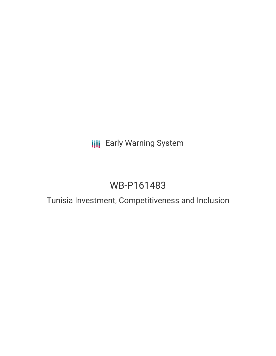# **III** Early Warning System

# WB-P161483

# Tunisia Investment, Competitiveness and Inclusion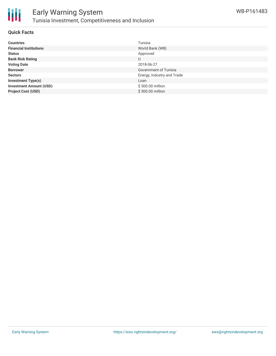

### **Quick Facts**

| <b>Countries</b>               | Tunisia                    |
|--------------------------------|----------------------------|
| <b>Financial Institutions</b>  | World Bank (WB)            |
| <b>Status</b>                  | Approved                   |
| <b>Bank Risk Rating</b>        | U                          |
| <b>Voting Date</b>             | 2018-06-27                 |
| <b>Borrower</b>                | Government of Tunisia      |
| <b>Sectors</b>                 | Energy, Industry and Trade |
| <b>Investment Type(s)</b>      | Loan                       |
| <b>Investment Amount (USD)</b> | \$500.00 million           |
| <b>Project Cost (USD)</b>      | \$500.00 million           |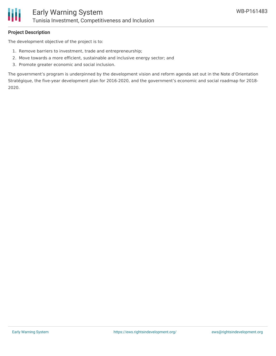

## **Project Description**

The development objective of the project is to:

- 1. Remove barriers to investment, trade and entrepreneurship;
- 2. Move towards a more efficient, sustainable and inclusive energy sector; and
- 3. Promote greater economic and social inclusion.

The government's program is underpinned by the development vision and reform agenda set out in the Note d'Orientation Stratégique, the five-year development plan for 2016-2020, and the government's economic and social roadmap for 2018- 2020.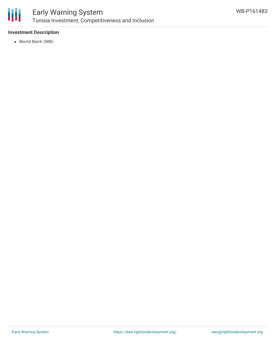

# **Investment Description**

World Bank (WB)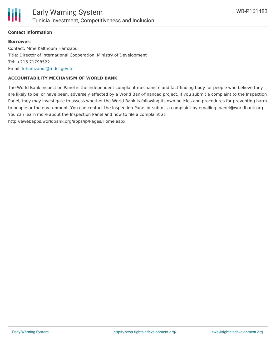

### **Contact Information**

#### **Borrower:**

Contact: Mme Kalthoum Hamzaoui Title: Director of International Cooperation, Ministry of Development Tel: +216 71798522 Email: [k.hamzaoui@mdci.gov.tn](mailto:k.hamzaoui@mdci.gov.tn)

### **ACCOUNTABILITY MECHANISM OF WORLD BANK**

The World Bank Inspection Panel is the independent complaint mechanism and fact-finding body for people who believe they are likely to be, or have been, adversely affected by a World Bank-financed project. If you submit a complaint to the Inspection Panel, they may investigate to assess whether the World Bank is following its own policies and procedures for preventing harm to people or the environment. You can contact the Inspection Panel or submit a complaint by emailing ipanel@worldbank.org. You can learn more about the Inspection Panel and how to file a complaint at:

http://ewebapps.worldbank.org/apps/ip/Pages/Home.aspx.